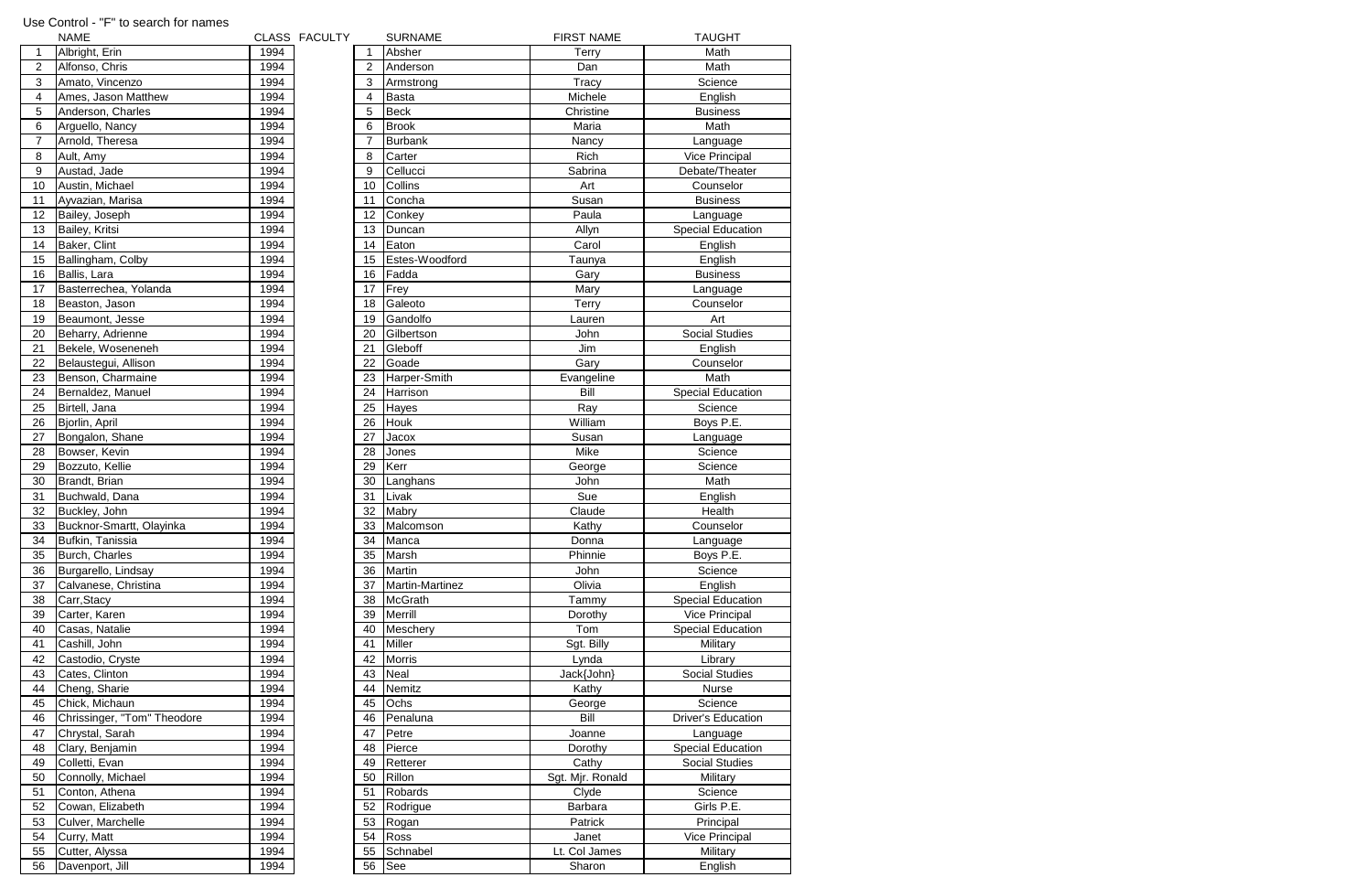| <b>NAME</b>           |                                                                                                                                                                                                                                                                                                                                                                                                                                                                                                                                                                                                                                                                                                                                                                                    |                                                                                                                                                                                                                                                                                                                                                      |               | <b>SURNAME</b>                                                                                                                                                                                                              | <b>FIRST NAME</b>                                                                                                                                                                                                                                                                                                                                                                                                                                                                                                                                                                                                                      | <b>TAUGHT</b>                                                                                                                                                                                                                                                                                                                                                                                                  |
|-----------------------|------------------------------------------------------------------------------------------------------------------------------------------------------------------------------------------------------------------------------------------------------------------------------------------------------------------------------------------------------------------------------------------------------------------------------------------------------------------------------------------------------------------------------------------------------------------------------------------------------------------------------------------------------------------------------------------------------------------------------------------------------------------------------------|------------------------------------------------------------------------------------------------------------------------------------------------------------------------------------------------------------------------------------------------------------------------------------------------------------------------------------------------------|---------------|-----------------------------------------------------------------------------------------------------------------------------------------------------------------------------------------------------------------------------|----------------------------------------------------------------------------------------------------------------------------------------------------------------------------------------------------------------------------------------------------------------------------------------------------------------------------------------------------------------------------------------------------------------------------------------------------------------------------------------------------------------------------------------------------------------------------------------------------------------------------------------|----------------------------------------------------------------------------------------------------------------------------------------------------------------------------------------------------------------------------------------------------------------------------------------------------------------------------------------------------------------------------------------------------------------|
| Albright, Erin        | 1994                                                                                                                                                                                                                                                                                                                                                                                                                                                                                                                                                                                                                                                                                                                                                                               |                                                                                                                                                                                                                                                                                                                                                      |               |                                                                                                                                                                                                                             | Terry                                                                                                                                                                                                                                                                                                                                                                                                                                                                                                                                                                                                                                  | Math                                                                                                                                                                                                                                                                                                                                                                                                           |
| Alfonso, Chris        | 1994                                                                                                                                                                                                                                                                                                                                                                                                                                                                                                                                                                                                                                                                                                                                                                               |                                                                                                                                                                                                                                                                                                                                                      | 2             |                                                                                                                                                                                                                             | Dan                                                                                                                                                                                                                                                                                                                                                                                                                                                                                                                                                                                                                                    | Math                                                                                                                                                                                                                                                                                                                                                                                                           |
|                       |                                                                                                                                                                                                                                                                                                                                                                                                                                                                                                                                                                                                                                                                                                                                                                                    |                                                                                                                                                                                                                                                                                                                                                      | 3             |                                                                                                                                                                                                                             |                                                                                                                                                                                                                                                                                                                                                                                                                                                                                                                                                                                                                                        | Science                                                                                                                                                                                                                                                                                                                                                                                                        |
|                       |                                                                                                                                                                                                                                                                                                                                                                                                                                                                                                                                                                                                                                                                                                                                                                                    |                                                                                                                                                                                                                                                                                                                                                      |               |                                                                                                                                                                                                                             |                                                                                                                                                                                                                                                                                                                                                                                                                                                                                                                                                                                                                                        | English                                                                                                                                                                                                                                                                                                                                                                                                        |
|                       |                                                                                                                                                                                                                                                                                                                                                                                                                                                                                                                                                                                                                                                                                                                                                                                    |                                                                                                                                                                                                                                                                                                                                                      |               |                                                                                                                                                                                                                             |                                                                                                                                                                                                                                                                                                                                                                                                                                                                                                                                                                                                                                        | <b>Business</b>                                                                                                                                                                                                                                                                                                                                                                                                |
|                       |                                                                                                                                                                                                                                                                                                                                                                                                                                                                                                                                                                                                                                                                                                                                                                                    |                                                                                                                                                                                                                                                                                                                                                      |               |                                                                                                                                                                                                                             |                                                                                                                                                                                                                                                                                                                                                                                                                                                                                                                                                                                                                                        | Math                                                                                                                                                                                                                                                                                                                                                                                                           |
|                       |                                                                                                                                                                                                                                                                                                                                                                                                                                                                                                                                                                                                                                                                                                                                                                                    |                                                                                                                                                                                                                                                                                                                                                      |               |                                                                                                                                                                                                                             |                                                                                                                                                                                                                                                                                                                                                                                                                                                                                                                                                                                                                                        |                                                                                                                                                                                                                                                                                                                                                                                                                |
|                       |                                                                                                                                                                                                                                                                                                                                                                                                                                                                                                                                                                                                                                                                                                                                                                                    |                                                                                                                                                                                                                                                                                                                                                      |               |                                                                                                                                                                                                                             |                                                                                                                                                                                                                                                                                                                                                                                                                                                                                                                                                                                                                                        | Language                                                                                                                                                                                                                                                                                                                                                                                                       |
|                       |                                                                                                                                                                                                                                                                                                                                                                                                                                                                                                                                                                                                                                                                                                                                                                                    |                                                                                                                                                                                                                                                                                                                                                      |               |                                                                                                                                                                                                                             |                                                                                                                                                                                                                                                                                                                                                                                                                                                                                                                                                                                                                                        | <b>Vice Principal</b>                                                                                                                                                                                                                                                                                                                                                                                          |
|                       |                                                                                                                                                                                                                                                                                                                                                                                                                                                                                                                                                                                                                                                                                                                                                                                    |                                                                                                                                                                                                                                                                                                                                                      |               |                                                                                                                                                                                                                             |                                                                                                                                                                                                                                                                                                                                                                                                                                                                                                                                                                                                                                        | Debate/Theater                                                                                                                                                                                                                                                                                                                                                                                                 |
|                       |                                                                                                                                                                                                                                                                                                                                                                                                                                                                                                                                                                                                                                                                                                                                                                                    |                                                                                                                                                                                                                                                                                                                                                      |               |                                                                                                                                                                                                                             |                                                                                                                                                                                                                                                                                                                                                                                                                                                                                                                                                                                                                                        | Counselor                                                                                                                                                                                                                                                                                                                                                                                                      |
|                       |                                                                                                                                                                                                                                                                                                                                                                                                                                                                                                                                                                                                                                                                                                                                                                                    |                                                                                                                                                                                                                                                                                                                                                      |               |                                                                                                                                                                                                                             |                                                                                                                                                                                                                                                                                                                                                                                                                                                                                                                                                                                                                                        | <b>Business</b>                                                                                                                                                                                                                                                                                                                                                                                                |
|                       |                                                                                                                                                                                                                                                                                                                                                                                                                                                                                                                                                                                                                                                                                                                                                                                    |                                                                                                                                                                                                                                                                                                                                                      |               |                                                                                                                                                                                                                             |                                                                                                                                                                                                                                                                                                                                                                                                                                                                                                                                                                                                                                        | Language                                                                                                                                                                                                                                                                                                                                                                                                       |
|                       |                                                                                                                                                                                                                                                                                                                                                                                                                                                                                                                                                                                                                                                                                                                                                                                    |                                                                                                                                                                                                                                                                                                                                                      |               |                                                                                                                                                                                                                             |                                                                                                                                                                                                                                                                                                                                                                                                                                                                                                                                                                                                                                        | <b>Special Education</b>                                                                                                                                                                                                                                                                                                                                                                                       |
| Baker, Clint          |                                                                                                                                                                                                                                                                                                                                                                                                                                                                                                                                                                                                                                                                                                                                                                                    |                                                                                                                                                                                                                                                                                                                                                      |               |                                                                                                                                                                                                                             |                                                                                                                                                                                                                                                                                                                                                                                                                                                                                                                                                                                                                                        | English                                                                                                                                                                                                                                                                                                                                                                                                        |
| Ballingham, Colby     | 1994                                                                                                                                                                                                                                                                                                                                                                                                                                                                                                                                                                                                                                                                                                                                                                               |                                                                                                                                                                                                                                                                                                                                                      | 15            |                                                                                                                                                                                                                             | Taunya                                                                                                                                                                                                                                                                                                                                                                                                                                                                                                                                                                                                                                 | English                                                                                                                                                                                                                                                                                                                                                                                                        |
| Ballis, Lara          | 1994                                                                                                                                                                                                                                                                                                                                                                                                                                                                                                                                                                                                                                                                                                                                                                               |                                                                                                                                                                                                                                                                                                                                                      | 16            | Fadda                                                                                                                                                                                                                       | Gary                                                                                                                                                                                                                                                                                                                                                                                                                                                                                                                                                                                                                                   | <b>Business</b>                                                                                                                                                                                                                                                                                                                                                                                                |
| Basterrechea, Yolanda | 1994                                                                                                                                                                                                                                                                                                                                                                                                                                                                                                                                                                                                                                                                                                                                                                               |                                                                                                                                                                                                                                                                                                                                                      | 17            |                                                                                                                                                                                                                             | Mary                                                                                                                                                                                                                                                                                                                                                                                                                                                                                                                                                                                                                                   | Language                                                                                                                                                                                                                                                                                                                                                                                                       |
| Beaston, Jason        | 1994                                                                                                                                                                                                                                                                                                                                                                                                                                                                                                                                                                                                                                                                                                                                                                               |                                                                                                                                                                                                                                                                                                                                                      | 18            | Galeoto                                                                                                                                                                                                                     | Terry                                                                                                                                                                                                                                                                                                                                                                                                                                                                                                                                                                                                                                  | Counselor                                                                                                                                                                                                                                                                                                                                                                                                      |
| Beaumont, Jesse       |                                                                                                                                                                                                                                                                                                                                                                                                                                                                                                                                                                                                                                                                                                                                                                                    |                                                                                                                                                                                                                                                                                                                                                      | 19            |                                                                                                                                                                                                                             |                                                                                                                                                                                                                                                                                                                                                                                                                                                                                                                                                                                                                                        | Art                                                                                                                                                                                                                                                                                                                                                                                                            |
|                       |                                                                                                                                                                                                                                                                                                                                                                                                                                                                                                                                                                                                                                                                                                                                                                                    |                                                                                                                                                                                                                                                                                                                                                      |               |                                                                                                                                                                                                                             |                                                                                                                                                                                                                                                                                                                                                                                                                                                                                                                                                                                                                                        | <b>Social Studies</b>                                                                                                                                                                                                                                                                                                                                                                                          |
|                       |                                                                                                                                                                                                                                                                                                                                                                                                                                                                                                                                                                                                                                                                                                                                                                                    |                                                                                                                                                                                                                                                                                                                                                      |               |                                                                                                                                                                                                                             |                                                                                                                                                                                                                                                                                                                                                                                                                                                                                                                                                                                                                                        | English                                                                                                                                                                                                                                                                                                                                                                                                        |
|                       |                                                                                                                                                                                                                                                                                                                                                                                                                                                                                                                                                                                                                                                                                                                                                                                    |                                                                                                                                                                                                                                                                                                                                                      |               |                                                                                                                                                                                                                             |                                                                                                                                                                                                                                                                                                                                                                                                                                                                                                                                                                                                                                        | Counselor                                                                                                                                                                                                                                                                                                                                                                                                      |
|                       |                                                                                                                                                                                                                                                                                                                                                                                                                                                                                                                                                                                                                                                                                                                                                                                    |                                                                                                                                                                                                                                                                                                                                                      |               |                                                                                                                                                                                                                             |                                                                                                                                                                                                                                                                                                                                                                                                                                                                                                                                                                                                                                        | Math                                                                                                                                                                                                                                                                                                                                                                                                           |
|                       |                                                                                                                                                                                                                                                                                                                                                                                                                                                                                                                                                                                                                                                                                                                                                                                    |                                                                                                                                                                                                                                                                                                                                                      |               |                                                                                                                                                                                                                             |                                                                                                                                                                                                                                                                                                                                                                                                                                                                                                                                                                                                                                        | <b>Special Education</b>                                                                                                                                                                                                                                                                                                                                                                                       |
|                       |                                                                                                                                                                                                                                                                                                                                                                                                                                                                                                                                                                                                                                                                                                                                                                                    |                                                                                                                                                                                                                                                                                                                                                      |               |                                                                                                                                                                                                                             |                                                                                                                                                                                                                                                                                                                                                                                                                                                                                                                                                                                                                                        | Science                                                                                                                                                                                                                                                                                                                                                                                                        |
|                       |                                                                                                                                                                                                                                                                                                                                                                                                                                                                                                                                                                                                                                                                                                                                                                                    |                                                                                                                                                                                                                                                                                                                                                      |               |                                                                                                                                                                                                                             |                                                                                                                                                                                                                                                                                                                                                                                                                                                                                                                                                                                                                                        | Boys P.E.                                                                                                                                                                                                                                                                                                                                                                                                      |
|                       |                                                                                                                                                                                                                                                                                                                                                                                                                                                                                                                                                                                                                                                                                                                                                                                    |                                                                                                                                                                                                                                                                                                                                                      |               |                                                                                                                                                                                                                             |                                                                                                                                                                                                                                                                                                                                                                                                                                                                                                                                                                                                                                        | Language                                                                                                                                                                                                                                                                                                                                                                                                       |
|                       |                                                                                                                                                                                                                                                                                                                                                                                                                                                                                                                                                                                                                                                                                                                                                                                    |                                                                                                                                                                                                                                                                                                                                                      |               |                                                                                                                                                                                                                             |                                                                                                                                                                                                                                                                                                                                                                                                                                                                                                                                                                                                                                        | Science                                                                                                                                                                                                                                                                                                                                                                                                        |
|                       |                                                                                                                                                                                                                                                                                                                                                                                                                                                                                                                                                                                                                                                                                                                                                                                    |                                                                                                                                                                                                                                                                                                                                                      |               |                                                                                                                                                                                                                             |                                                                                                                                                                                                                                                                                                                                                                                                                                                                                                                                                                                                                                        | Science                                                                                                                                                                                                                                                                                                                                                                                                        |
|                       |                                                                                                                                                                                                                                                                                                                                                                                                                                                                                                                                                                                                                                                                                                                                                                                    |                                                                                                                                                                                                                                                                                                                                                      |               |                                                                                                                                                                                                                             |                                                                                                                                                                                                                                                                                                                                                                                                                                                                                                                                                                                                                                        | Math                                                                                                                                                                                                                                                                                                                                                                                                           |
|                       |                                                                                                                                                                                                                                                                                                                                                                                                                                                                                                                                                                                                                                                                                                                                                                                    |                                                                                                                                                                                                                                                                                                                                                      |               |                                                                                                                                                                                                                             |                                                                                                                                                                                                                                                                                                                                                                                                                                                                                                                                                                                                                                        | English                                                                                                                                                                                                                                                                                                                                                                                                        |
|                       |                                                                                                                                                                                                                                                                                                                                                                                                                                                                                                                                                                                                                                                                                                                                                                                    |                                                                                                                                                                                                                                                                                                                                                      |               |                                                                                                                                                                                                                             |                                                                                                                                                                                                                                                                                                                                                                                                                                                                                                                                                                                                                                        | Health                                                                                                                                                                                                                                                                                                                                                                                                         |
|                       |                                                                                                                                                                                                                                                                                                                                                                                                                                                                                                                                                                                                                                                                                                                                                                                    |                                                                                                                                                                                                                                                                                                                                                      |               |                                                                                                                                                                                                                             |                                                                                                                                                                                                                                                                                                                                                                                                                                                                                                                                                                                                                                        | Counselor                                                                                                                                                                                                                                                                                                                                                                                                      |
|                       |                                                                                                                                                                                                                                                                                                                                                                                                                                                                                                                                                                                                                                                                                                                                                                                    |                                                                                                                                                                                                                                                                                                                                                      |               |                                                                                                                                                                                                                             |                                                                                                                                                                                                                                                                                                                                                                                                                                                                                                                                                                                                                                        | Language                                                                                                                                                                                                                                                                                                                                                                                                       |
|                       |                                                                                                                                                                                                                                                                                                                                                                                                                                                                                                                                                                                                                                                                                                                                                                                    |                                                                                                                                                                                                                                                                                                                                                      |               |                                                                                                                                                                                                                             |                                                                                                                                                                                                                                                                                                                                                                                                                                                                                                                                                                                                                                        | Boys P.E.                                                                                                                                                                                                                                                                                                                                                                                                      |
|                       |                                                                                                                                                                                                                                                                                                                                                                                                                                                                                                                                                                                                                                                                                                                                                                                    |                                                                                                                                                                                                                                                                                                                                                      |               |                                                                                                                                                                                                                             |                                                                                                                                                                                                                                                                                                                                                                                                                                                                                                                                                                                                                                        |                                                                                                                                                                                                                                                                                                                                                                                                                |
|                       |                                                                                                                                                                                                                                                                                                                                                                                                                                                                                                                                                                                                                                                                                                                                                                                    |                                                                                                                                                                                                                                                                                                                                                      |               |                                                                                                                                                                                                                             |                                                                                                                                                                                                                                                                                                                                                                                                                                                                                                                                                                                                                                        | Science                                                                                                                                                                                                                                                                                                                                                                                                        |
|                       |                                                                                                                                                                                                                                                                                                                                                                                                                                                                                                                                                                                                                                                                                                                                                                                    |                                                                                                                                                                                                                                                                                                                                                      |               |                                                                                                                                                                                                                             |                                                                                                                                                                                                                                                                                                                                                                                                                                                                                                                                                                                                                                        | English                                                                                                                                                                                                                                                                                                                                                                                                        |
|                       |                                                                                                                                                                                                                                                                                                                                                                                                                                                                                                                                                                                                                                                                                                                                                                                    |                                                                                                                                                                                                                                                                                                                                                      |               |                                                                                                                                                                                                                             |                                                                                                                                                                                                                                                                                                                                                                                                                                                                                                                                                                                                                                        | <b>Special Education</b>                                                                                                                                                                                                                                                                                                                                                                                       |
|                       |                                                                                                                                                                                                                                                                                                                                                                                                                                                                                                                                                                                                                                                                                                                                                                                    |                                                                                                                                                                                                                                                                                                                                                      |               |                                                                                                                                                                                                                             |                                                                                                                                                                                                                                                                                                                                                                                                                                                                                                                                                                                                                                        | <b>Vice Principal</b>                                                                                                                                                                                                                                                                                                                                                                                          |
|                       |                                                                                                                                                                                                                                                                                                                                                                                                                                                                                                                                                                                                                                                                                                                                                                                    |                                                                                                                                                                                                                                                                                                                                                      |               |                                                                                                                                                                                                                             |                                                                                                                                                                                                                                                                                                                                                                                                                                                                                                                                                                                                                                        | <b>Special Education</b>                                                                                                                                                                                                                                                                                                                                                                                       |
|                       |                                                                                                                                                                                                                                                                                                                                                                                                                                                                                                                                                                                                                                                                                                                                                                                    |                                                                                                                                                                                                                                                                                                                                                      |               |                                                                                                                                                                                                                             |                                                                                                                                                                                                                                                                                                                                                                                                                                                                                                                                                                                                                                        | Military                                                                                                                                                                                                                                                                                                                                                                                                       |
|                       |                                                                                                                                                                                                                                                                                                                                                                                                                                                                                                                                                                                                                                                                                                                                                                                    |                                                                                                                                                                                                                                                                                                                                                      |               |                                                                                                                                                                                                                             |                                                                                                                                                                                                                                                                                                                                                                                                                                                                                                                                                                                                                                        | Library                                                                                                                                                                                                                                                                                                                                                                                                        |
|                       |                                                                                                                                                                                                                                                                                                                                                                                                                                                                                                                                                                                                                                                                                                                                                                                    |                                                                                                                                                                                                                                                                                                                                                      |               |                                                                                                                                                                                                                             |                                                                                                                                                                                                                                                                                                                                                                                                                                                                                                                                                                                                                                        | <b>Social Studies</b>                                                                                                                                                                                                                                                                                                                                                                                          |
|                       |                                                                                                                                                                                                                                                                                                                                                                                                                                                                                                                                                                                                                                                                                                                                                                                    |                                                                                                                                                                                                                                                                                                                                                      |               |                                                                                                                                                                                                                             |                                                                                                                                                                                                                                                                                                                                                                                                                                                                                                                                                                                                                                        | <b>Nurse</b>                                                                                                                                                                                                                                                                                                                                                                                                   |
|                       |                                                                                                                                                                                                                                                                                                                                                                                                                                                                                                                                                                                                                                                                                                                                                                                    |                                                                                                                                                                                                                                                                                                                                                      |               |                                                                                                                                                                                                                             |                                                                                                                                                                                                                                                                                                                                                                                                                                                                                                                                                                                                                                        | Science                                                                                                                                                                                                                                                                                                                                                                                                        |
|                       |                                                                                                                                                                                                                                                                                                                                                                                                                                                                                                                                                                                                                                                                                                                                                                                    |                                                                                                                                                                                                                                                                                                                                                      |               |                                                                                                                                                                                                                             |                                                                                                                                                                                                                                                                                                                                                                                                                                                                                                                                                                                                                                        | <b>Driver's Education</b>                                                                                                                                                                                                                                                                                                                                                                                      |
|                       |                                                                                                                                                                                                                                                                                                                                                                                                                                                                                                                                                                                                                                                                                                                                                                                    |                                                                                                                                                                                                                                                                                                                                                      |               |                                                                                                                                                                                                                             |                                                                                                                                                                                                                                                                                                                                                                                                                                                                                                                                                                                                                                        | Language                                                                                                                                                                                                                                                                                                                                                                                                       |
| Clary, Benjamin       |                                                                                                                                                                                                                                                                                                                                                                                                                                                                                                                                                                                                                                                                                                                                                                                    |                                                                                                                                                                                                                                                                                                                                                      |               |                                                                                                                                                                                                                             | Dorothy                                                                                                                                                                                                                                                                                                                                                                                                                                                                                                                                                                                                                                | <b>Special Education</b>                                                                                                                                                                                                                                                                                                                                                                                       |
| Colletti, Evan        |                                                                                                                                                                                                                                                                                                                                                                                                                                                                                                                                                                                                                                                                                                                                                                                    |                                                                                                                                                                                                                                                                                                                                                      | 49            | Retterer                                                                                                                                                                                                                    |                                                                                                                                                                                                                                                                                                                                                                                                                                                                                                                                                                                                                                        | <b>Social Studies</b>                                                                                                                                                                                                                                                                                                                                                                                          |
| Connolly, Michael     | 1994                                                                                                                                                                                                                                                                                                                                                                                                                                                                                                                                                                                                                                                                                                                                                                               |                                                                                                                                                                                                                                                                                                                                                      | 50            | Rillon                                                                                                                                                                                                                      | Sgt. Mjr. Ronald                                                                                                                                                                                                                                                                                                                                                                                                                                                                                                                                                                                                                       | Military                                                                                                                                                                                                                                                                                                                                                                                                       |
| Conton, Athena        | 1994                                                                                                                                                                                                                                                                                                                                                                                                                                                                                                                                                                                                                                                                                                                                                                               |                                                                                                                                                                                                                                                                                                                                                      | 51            |                                                                                                                                                                                                                             | Clyde                                                                                                                                                                                                                                                                                                                                                                                                                                                                                                                                                                                                                                  | Science                                                                                                                                                                                                                                                                                                                                                                                                        |
| Cowan, Elizabeth      | 1994                                                                                                                                                                                                                                                                                                                                                                                                                                                                                                                                                                                                                                                                                                                                                                               |                                                                                                                                                                                                                                                                                                                                                      | 52            |                                                                                                                                                                                                                             | Barbara                                                                                                                                                                                                                                                                                                                                                                                                                                                                                                                                                                                                                                | Girls P.E.                                                                                                                                                                                                                                                                                                                                                                                                     |
| Culver, Marchelle     | 1994                                                                                                                                                                                                                                                                                                                                                                                                                                                                                                                                                                                                                                                                                                                                                                               |                                                                                                                                                                                                                                                                                                                                                      | 53            | Rogan                                                                                                                                                                                                                       | Patrick                                                                                                                                                                                                                                                                                                                                                                                                                                                                                                                                                                                                                                | Principal                                                                                                                                                                                                                                                                                                                                                                                                      |
| Curry, Matt           | 1994                                                                                                                                                                                                                                                                                                                                                                                                                                                                                                                                                                                                                                                                                                                                                                               |                                                                                                                                                                                                                                                                                                                                                      | 54            |                                                                                                                                                                                                                             | Janet                                                                                                                                                                                                                                                                                                                                                                                                                                                                                                                                                                                                                                  | Vice Principal                                                                                                                                                                                                                                                                                                                                                                                                 |
| Cutter, Alyssa        | 1994                                                                                                                                                                                                                                                                                                                                                                                                                                                                                                                                                                                                                                                                                                                                                                               |                                                                                                                                                                                                                                                                                                                                                      | 55            |                                                                                                                                                                                                                             | Lt. Col James                                                                                                                                                                                                                                                                                                                                                                                                                                                                                                                                                                                                                          | Military                                                                                                                                                                                                                                                                                                                                                                                                       |
| Davenport, Jill       | 1994                                                                                                                                                                                                                                                                                                                                                                                                                                                                                                                                                                                                                                                                                                                                                                               |                                                                                                                                                                                                                                                                                                                                                      | 56            |                                                                                                                                                                                                                             | Sharon                                                                                                                                                                                                                                                                                                                                                                                                                                                                                                                                                                                                                                 | English                                                                                                                                                                                                                                                                                                                                                                                                        |
|                       | Amato, Vincenzo<br>Ames, Jason Matthew<br>Anderson, Charles<br>Arguello, Nancy<br>Arnold, Theresa<br>Ault, Amy<br>Austad, Jade<br>Austin, Michael<br>Ayvazian, Marisa<br>Bailey, Joseph<br>Bailey, Kritsi<br>Beharry, Adrienne<br>Bekele, Woseneneh<br>Belaustegui, Allison<br>Benson, Charmaine<br>Bernaldez, Manuel<br>Birtell, Jana<br>Bjorlin, April<br>Bongalon, Shane<br>Bowser, Kevin<br>Bozzuto, Kellie<br>Brandt, Brian<br>Buchwald, Dana<br>Buckley, John<br>Bucknor-Smartt, Olayinka<br>Bufkin, Tanissia<br>Burch, Charles<br>Burgarello, Lindsay<br>Calvanese, Christina<br>Carr, Stacy<br>Carter, Karen<br>Casas, Natalie<br>Cashill, John<br>Castodio, Cryste<br>Cates, Clinton<br>Cheng, Sharie<br>Chick, Michaun<br>Chrissinger, "Tom" Theodore<br>Chrystal, Sarah | 1994<br>1994<br>1994<br>1994<br>1994<br>1994<br>1994<br>1994<br>1994<br>1994<br>1994<br>1994<br>1994<br>1994<br>1994<br>1994<br>1994<br>1994<br>1994<br>1994<br>1994<br>1994<br>1994<br>1994<br>1994<br>1994<br>1994<br>1994<br>1994<br>1994<br>1994<br>1994<br>1994<br>1994<br>1994<br>1994<br>1994<br>1994<br>1994<br>1994<br>1994<br>1994<br>1994 | CLASS FACULTY | 4<br>5<br>6<br>8<br>9<br>10<br>11<br>12<br>13<br>14<br>20<br>21<br>22<br>23<br>24<br>25<br>26<br>27<br>28<br>29<br>30<br>31<br>32<br>33<br>35<br>36<br>37<br>38<br>39<br>40<br>41<br>42<br>43<br>44<br>45<br>46<br>47<br>48 | Absher<br>Anderson<br>Armstrong<br><b>Basta</b><br><b>Beck</b><br><b>Brook</b><br><b>Burbank</b><br>Carter<br>Cellucci<br><b>Collins</b><br>Concha<br>Conkey<br>Duncan<br>Eaton<br>Estes-Woodford<br>Frey<br>Gandolfo<br>Gilbertson<br>Gleboff<br>Goade<br>Harper-Smith<br>Harrison<br>Hayes<br><b>Houk</b><br>Jacox<br>Jones<br>Kerr<br>Langhans<br>Livak<br>Mabry<br>Malcomson<br>34 Manca<br>Marsh<br>Martin<br>Martin-Martinez<br><b>McGrath</b><br>Merrill<br>Meschery<br><b>Miller</b><br><b>Morris</b><br><b>Neal</b><br>Nemitz<br>Ochs<br>Penaluna<br>Petre<br>Pierce<br>Robards<br>Rodrigue<br><b>Ross</b><br>Schnabel<br>See | Tracy<br>Michele<br>Christine<br>Maria<br>Nancy<br><b>Rich</b><br>Sabrina<br>Art<br>Susan<br>Paula<br>Allyn<br>Carol<br>Lauren<br>John<br>Jim<br>Gary<br>Evangeline<br>Bill<br>Ray<br>William<br>Susan<br>Mike<br>George<br>John<br>Sue<br>Claude<br>Kathy<br>Donna<br>Phinnie<br>John<br>Olivia<br>Tammy<br>Dorothy<br>Tom<br>Sgt. Billy<br>Lynda<br>Jack{John}<br>Kathy<br>George<br>Bill<br>Joanne<br>Cathy |

## Use Control - "F" to search for names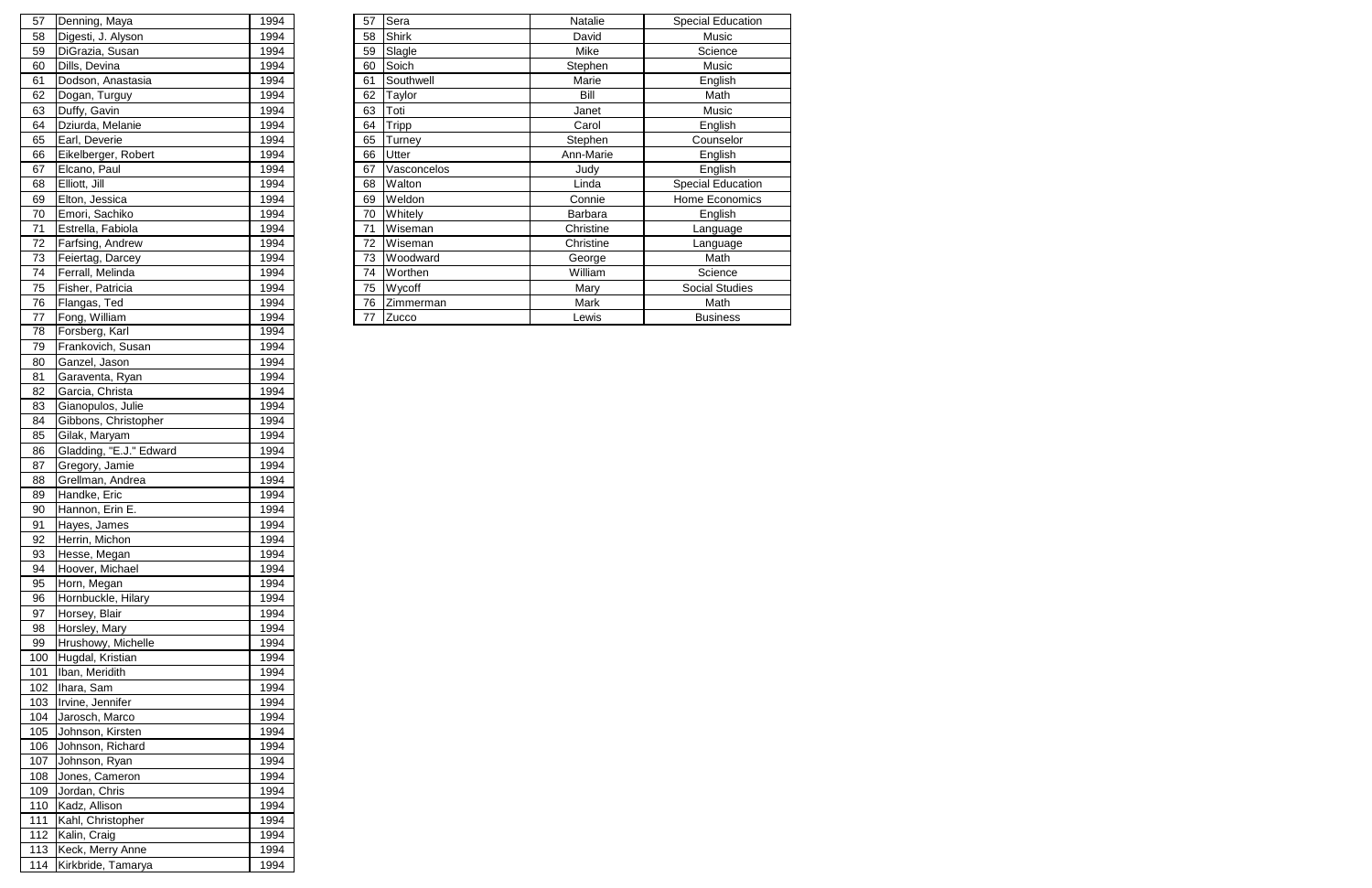| 57 | Denning, Maya       | 1994 | 57 | Sera         | <b>Natalie</b> | Special Education     |
|----|---------------------|------|----|--------------|----------------|-----------------------|
| 58 | Digesti, J. Alyson  | 1994 | 58 | <b>Shirk</b> | David          | Music                 |
| 59 | DiGrazia, Susan     | 1994 | 59 | Slagle       | Mike           | Science               |
| 60 | Dills, Devina       | 1994 | 60 | Soich        | Stephen        | Music                 |
| 61 | Dodson, Anastasia   | 1994 | 61 | Southwell    | Marie          | English               |
| 62 | Dogan, Turguy       | 1994 | 62 | Taylor       | Bill           | Math                  |
| 63 | Duffy, Gavin        | 1994 | 63 | Toti         | Janet          | Music                 |
| 64 | Dziurda, Melanie    | 1994 | 64 | <b>Tripp</b> | Carol          | English               |
| 65 | Earl, Deverie       | 1994 | 65 | Turney       | Stephen        | Counselor             |
| 66 | Eikelberger, Robert | 1994 | 66 | Utter        | Ann-Marie      | English               |
| 67 | Elcano, Paul        | 1994 | 67 | Vasconcelos  | Judy           | English               |
| 68 | Elliott, Jill       | 1994 | 68 | Walton       | Linda          | Special Education     |
| 69 | Elton, Jessica      | 1994 | 69 | Weldon       | Connie         | Home Economics        |
| 70 | Emori, Sachiko      | 1994 | 70 | Whitely      | Barbara        | English               |
| 71 | Estrella, Fabiola   | 1994 | 71 | Wiseman      | Christine      | Language              |
| 72 | Farfsing, Andrew    | 1994 | 72 | Wiseman      | Christine      | Language              |
| 73 | Feiertag, Darcey    | 1994 | 73 | Woodward     | George         | Math                  |
| 74 | Ferrall, Melinda    | 1994 | 74 | Worthen      | William        | Science               |
| 75 | Fisher, Patricia    | 1994 | 75 | Wycoff       | Mary           | <b>Social Studies</b> |
| 76 | Flangas, Ted        | 1994 | 76 | Zimmerman    | Mark           | Math                  |
| 77 | Fong, William       | 1994 | 77 | Zucco        | Lewis          | <b>Business</b>       |
|    |                     |      |    |              |                |                       |

| 57         | Denning, Maya                    | 1994         |
|------------|----------------------------------|--------------|
| 58         | Digesti, J. Alyson               | 1994         |
| 59         | DiGrazia, Susan                  | 1994         |
| 60         | Dills, Devina                    | 1994         |
| 61         | Dodson, Anastasia                | 1994         |
| 62         | Dogan, Turguy                    | 1994         |
| 63         | Duffy, Gavin                     | 1994         |
| 64         | Dziurda, Melanie                 | 1994         |
| 65         | Earl, Deverie                    | 1994         |
| 66         | Eikelberger, Robert              | 1994         |
| 67         | Elcano, Paul                     | 1994         |
| 68         | Elliott, Jill                    | 1994         |
| 69         | Elton, Jessica                   | 1994         |
| 70         | Emori, Sachiko                   | 1994         |
| 71         | Estrella, Fabiola                | 1994         |
| 72         | Farfsing, Andrew                 | 1994         |
| 73         | Feiertag, Darcey                 | 1994         |
| 74         | Ferrall, Melinda                 | 1994         |
| 75         | Fisher, Patricia                 | 1994         |
| 76         | Flangas, Ted                     | 1994         |
| 77         | Fong, William                    | 1994         |
| 78         | Forsberg, Karl                   | 1994         |
| 79         | Frankovich, Susan                | 1994         |
| 80         | Ganzel, Jason                    | 1994         |
| 81         | Garaventa, Ryan                  | 1994         |
| 82         | Garcia, Christa                  | 1994         |
| 83         | Gianopulos, Julie                | 1994         |
| 84         | Gibbons, Christopher             | 1994         |
| 85         | Gilak, Maryam                    | 1994         |
| 86         | Gladding, "E.J." Edward          | 1994         |
| 87         | Gregory, Jamie                   | 1994         |
| 88         | Grellman, Andrea                 | 1994         |
| 89         | Handke, Eric                     | 1994         |
| 90         | Hannon, Erin E.                  | 1994         |
| 91         | Hayes, James                     | 1994         |
| 92         | Herrin, Michon                   | 1994         |
| 93         | Hesse, Megan                     | 1994         |
| 94         |                                  |              |
|            |                                  |              |
|            | Hoover, Michael                  | 1994         |
| 95         | Horn, Megan                      | 1994         |
| 96         | Hornbuckle, Hilary               | 1994         |
| 97         | Horsey, Blair                    | 1994         |
| 98         | Horsley, Mary                    | 1994         |
| 99         | Hrushowy, Michelle               | 1994<br>1994 |
| 100        | Hugdal, Kristian                 |              |
| 101        | Iban, Meridith                   | 1994         |
| 102        | Ihara, Sam                       | 1994         |
| 103<br>104 | Irvine, Jennifer                 | 1994<br>1994 |
| 105        | Jarosch, Marco                   | 1994         |
|            | Johnson, Kirsten                 |              |
| 106        | Johnson, Richard                 | 1994         |
| 107        | Johnson, Ryan                    | 1994         |
| 108        | Jones, Cameron                   | 1994         |
| 109        | Jordan, Chris                    | 1994         |
| 110        | Kadz, Allison                    | 1994         |
| 111        | Kahl, Christopher                | 1994         |
| 112<br>113 | Kalin, Craig<br>Keck, Merry Anne | 1994<br>1994 |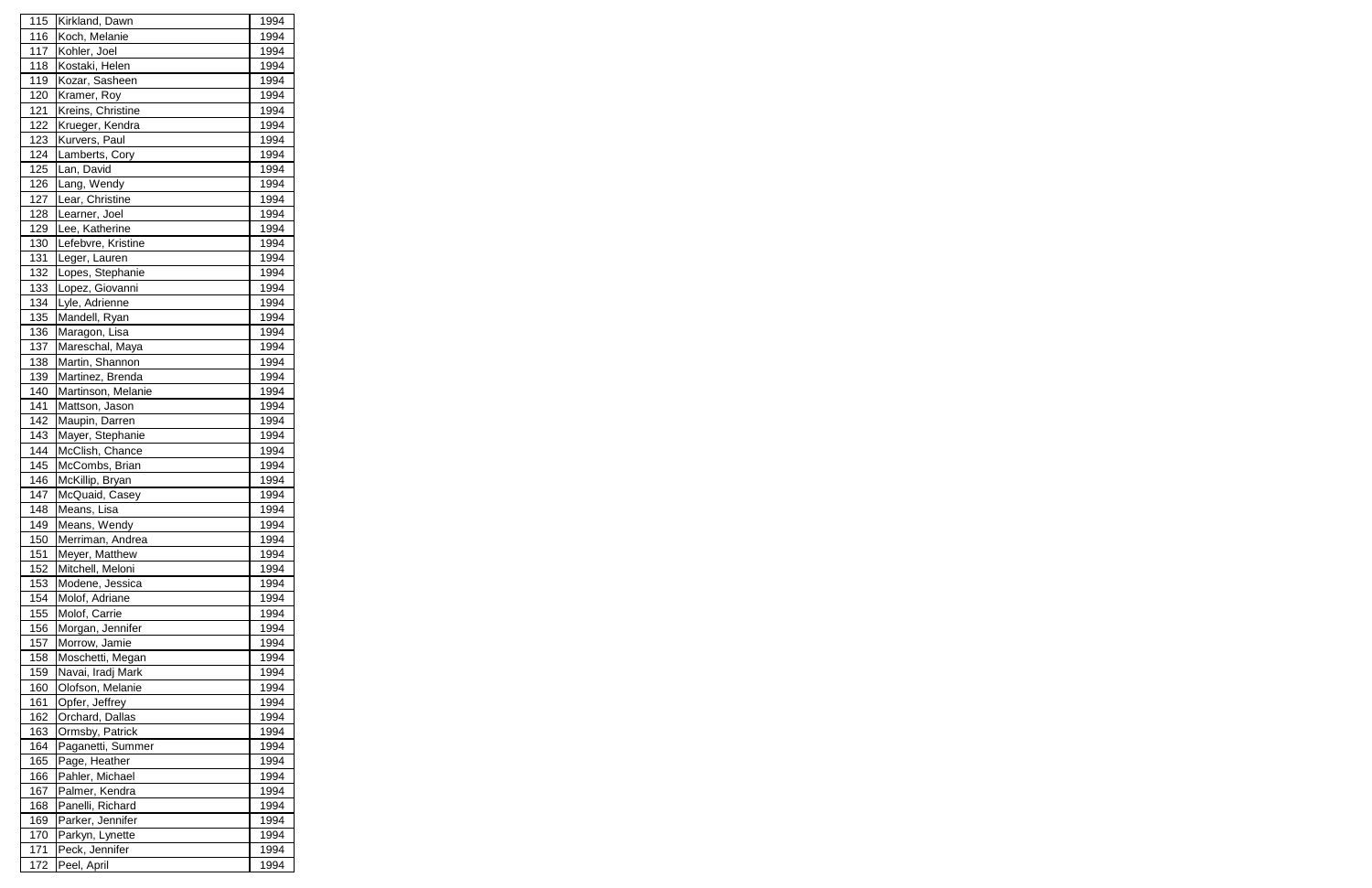| 115        | Kirkland, Dawn     | 1994 |
|------------|--------------------|------|
| 116        | Koch, Melanie      | 1994 |
| 117        | Kohler, Joel       | 1994 |
| 118        | Kostaki, Helen     | 1994 |
| 119        | Kozar, Sasheen     | 1994 |
| 120        | Kramer, Roy        | 1994 |
| 121        | Kreins, Christine  | 1994 |
| 122        | Krueger, Kendra    | 1994 |
| 123        | Kurvers, Paul      | 1994 |
| 124        | Lamberts, Cory     | 1994 |
| 125        | Lan, David         | 1994 |
| 126        | Lang, Wendy        | 1994 |
| 127        | Lear, Christine    | 1994 |
| 128        | Learner, Joel      | 1994 |
| 129        | Lee, Katherine     | 1994 |
| 130        | Lefebvre, Kristine | 1994 |
| 131        | Leger, Lauren      | 1994 |
| 132        | Lopes, Stephanie   | 1994 |
| 133        | Lopez, Giovanni    | 1994 |
| 134        | Lyle, Adrienne     | 1994 |
| 135        | Mandell, Ryan      | 1994 |
| 136        | Maragon, Lisa      | 1994 |
| 137        | Mareschal, Maya    | 1994 |
| 138        | Martin, Shannon    | 1994 |
| 139        | Martinez, Brenda   | 1994 |
| 140        | Martinson, Melanie | 1994 |
| 141        | Mattson, Jason     | 1994 |
| 142        | Maupin, Darren     | 1994 |
| 143        | Mayer, Stephanie   | 1994 |
| 144        | McClish, Chance    | 1994 |
| 145        | McCombs, Brian     | 1994 |
| 146        | McKillip, Bryan    | 1994 |
| 147        | McQuaid, Casey     | 1994 |
| <u>148</u> | Means, Lisa        | 1994 |
| 149        | Means, Wendy       | 1994 |
| 150        | Merriman, Andrea   | 1994 |
| 151        | Meyer, Matthew     | 1994 |
| 152        | Mitchell, Meloni   | 1994 |
| 153        | Modene, Jessica    | 1994 |
| 154        | Molof, Adriane     | 1994 |
| 155        | Molof, Carrie      | 1994 |
| 156        | Morgan, Jennifer   | 1994 |
| 157        | Morrow, Jamie      | 1994 |
| 158        | Moschetti, Megan   | 1994 |
| 159        | Navai, Iradj Mark  | 1994 |
| 160        | Olofson, Melanie   | 1994 |
| 161        | Opfer, Jeffrey     | 1994 |
| 162        | Orchard, Dallas    | 1994 |
| 163        | Ormsby, Patrick    | 1994 |
| 164        | Paganetti, Summer  | 1994 |
| 165        | Page, Heather      | 1994 |
| 166        | Pahler, Michael    | 1994 |
| 167        | Palmer, Kendra     | 1994 |
| 168        | Panelli, Richard   | 1994 |
| 169        | Parker, Jennifer   | 1994 |
| 170        | Parkyn, Lynette    | 1994 |
| 171        | Peck, Jennifer     | 1994 |
| 172        | Peel, April        | 1994 |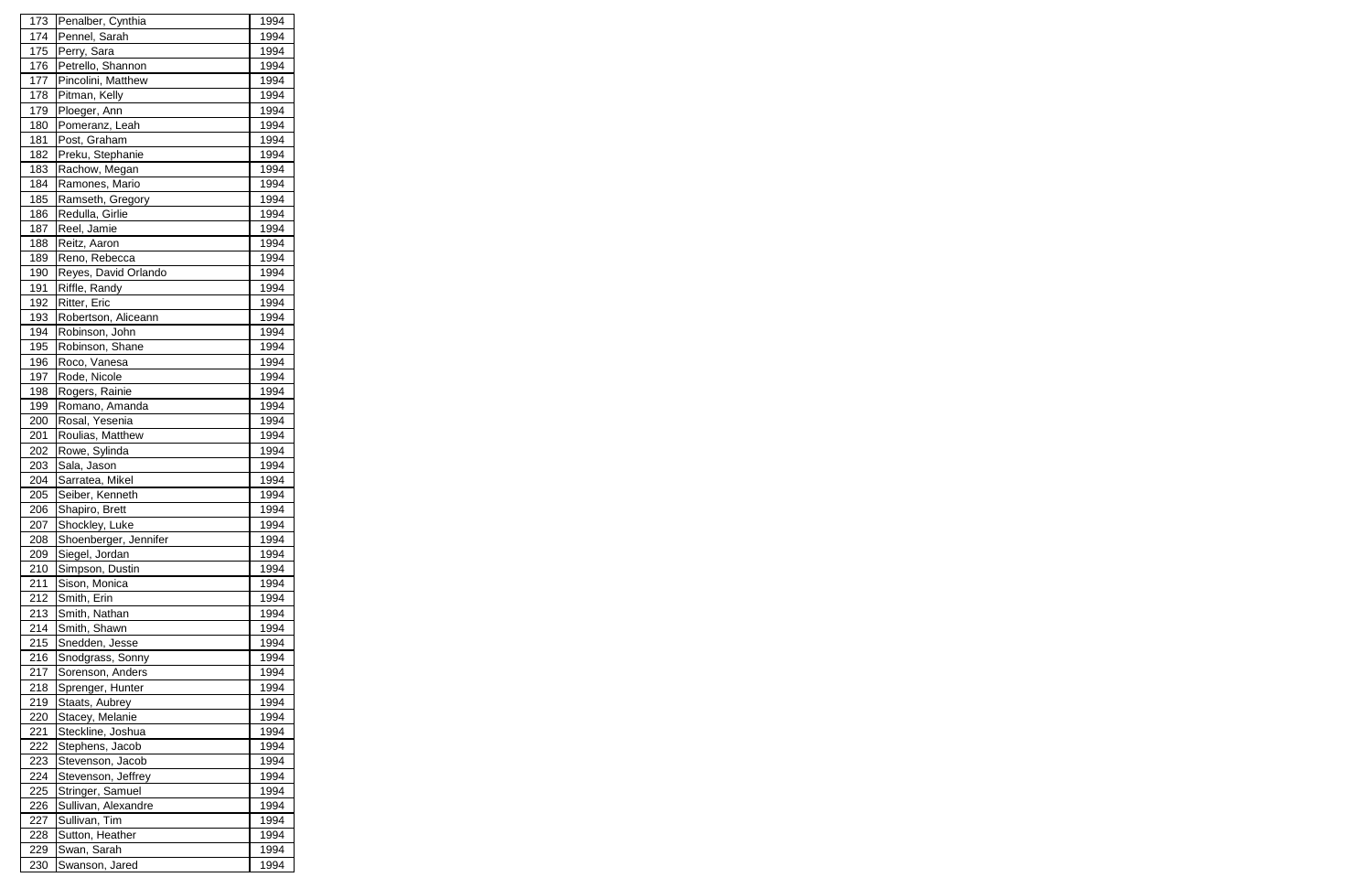| 173 | Penalber, Cynthia     | 1994 |
|-----|-----------------------|------|
| 174 | Pennel, Sarah         | 1994 |
| 175 | Perry, Sara           | 1994 |
| 176 | Petrello, Shannon     | 1994 |
| 177 | Pincolini, Matthew    | 1994 |
| 178 | Pitman, Kelly         | 1994 |
| 179 | Ploeger, Ann          | 1994 |
| 180 | Pomeranz, Leah        | 1994 |
| 181 | Post, Graham          | 1994 |
| 182 | Preku, Stephanie      | 1994 |
| 183 | Rachow, Megan         | 1994 |
| 184 | Ramones, Mario        | 1994 |
| 185 | Ramseth, Gregory      | 1994 |
| 186 | Redulla, Girlie       | 1994 |
| 187 | Reel, Jamie           | 1994 |
| 188 | Reitz, Aaron          | 1994 |
| 189 | Reno, Rebecca         | 1994 |
| 190 | Reyes, David Orlando  | 1994 |
| 191 | Riffle, Randy         | 1994 |
| 192 | Ritter, Eric          | 1994 |
| 193 | Robertson, Aliceann   | 1994 |
| 194 | Robinson, John        | 1994 |
| 195 | Robinson, Shane       | 1994 |
| 196 | Roco, Vanesa          | 1994 |
| 197 | Rode, Nicole          | 1994 |
| 198 | Rogers, Rainie        | 1994 |
| 199 | Romano, Amanda        | 1994 |
| 200 | Rosal, Yesenia        | 1994 |
| 201 | Roulias, Matthew      | 1994 |
| 202 | Rowe, Sylinda         | 1994 |
| 203 | Sala, Jason           | 1994 |
| 204 | Sarratea, Mikel       | 1994 |
| 205 | Seiber, Kenneth       | 1994 |
| 206 | Shapiro, Brett        | 1994 |
| 207 | Shockley, Luke        | 1994 |
| 208 | Shoenberger, Jennifer | 1994 |
| 209 | Siegel, Jordan        | 1994 |
| 210 | Simpson, Dustin       | 1994 |
| 211 | Sison, Monica         | 1994 |
| 212 | Smith, Erin           | 1994 |
| 213 | Smith, Nathan         | 1994 |
| 214 | Smith, Shawn          | 1994 |
| 215 | Snedden, Jesse        | 1994 |
| 216 | Snodgrass, Sonny      | 1994 |
| 217 | Sorenson, Anders      | 1994 |
| 218 | Sprenger, Hunter      | 1994 |
| 219 | Staats, Aubrey        | 1994 |
| 220 | Stacey, Melanie       | 1994 |
| 221 | Steckline, Joshua     | 1994 |
| 222 | Stephens, Jacob       | 1994 |
| 223 | Stevenson, Jacob      | 1994 |
| 224 | Stevenson, Jeffrey    | 1994 |
| 225 | Stringer, Samuel      | 1994 |
| 226 | Sullivan, Alexandre   | 1994 |
| 227 | Sullivan, Tim         | 1994 |
| 228 | Sutton, Heather       | 1994 |
| 229 | Swan, Sarah           | 1994 |
| 230 | Swanson, Jared        | 1994 |
|     |                       |      |